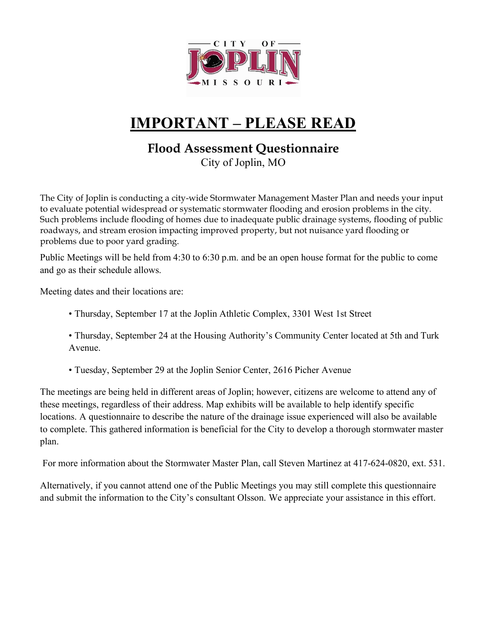

## **IMPORTANT – PLEASE READ**

## **Flood Assessment Questionnaire**

City of Joplin, MO

The City of Joplin is conducting a city-wide Stormwater Management Master Plan and needs your input to evaluate potential widespread or systematic stormwater flooding and erosion problems in the city. Such problems include flooding of homes due to inadequate public drainage systems, flooding of public roadways, and stream erosion impacting improved property, but not nuisance yard flooding or problems due to poor yard grading.

Public Meetings will be held from 4:30 to 6:30 p.m. and be an open house format for the public to come and go as their schedule allows.

Meeting dates and their locations are:

- Thursday, September 17 at the Joplin Athletic Complex, 3301 West 1st Street
- Thursday, September 24 at the Housing Authority's Community Center located at 5th and Turk Avenue.
- Tuesday, September 29 at the Joplin Senior Center, 2616 Picher Avenue

The meetings are being held in different areas of Joplin; however, citizens are welcome to attend any of these meetings, regardless of their address. Map exhibits will be available to help identify specific locations. A questionnaire to describe the nature of the drainage issue experienced will also be available to complete. This gathered information is beneficial for the City to develop a thorough stormwater master plan.

For more information about the Stormwater Master Plan, call Steven Martinez at 417-624-0820, ext. 531.

Alternatively, if you cannot attend one of the Public Meetings you may still complete this questionnaire and submit the information to the City's consultant Olsson. We appreciate your assistance in this effort.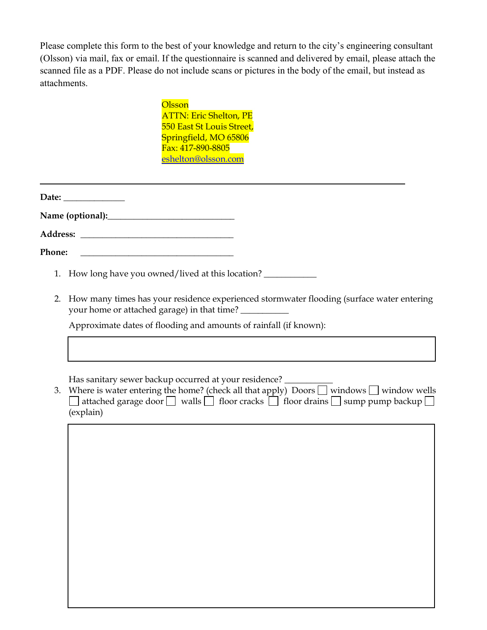Please complete this form to the best of your knowledge and return to the city's engineering consultant (Olsson) via mail, fax or email. If the questionnaire is scanned and delivered by email, please attach the scanned file as a PDF. Please do not include scans or pictures in the body of the email, but instead as attachments.

## **Olsson**

ATTN: Eric Shelton, PE 550 East St Louis Street, Springfield, MO 65806 Fax: 417-890-8805 [eshelton@olsson.com](mailto:eshelton@olsson.com)

**Date: \_\_\_\_\_\_\_\_\_\_\_\_\_\_** 

**Name (optional):\_\_\_\_\_\_\_\_\_\_\_\_\_\_\_\_\_\_\_\_\_\_\_\_\_\_\_\_\_** 

**Address: \_\_\_\_\_\_\_\_\_\_\_\_\_\_\_\_\_\_\_\_\_\_\_\_\_\_\_\_\_\_\_\_\_\_\_** 

Phone:

- 1. How long have you owned/lived at this location? \_\_\_\_\_\_\_\_\_\_\_\_\_\_\_\_\_\_\_\_\_\_\_\_\_\_\_\_\_
- 2. How many times has your residence experienced stormwater flooding (surface water entering your home or attached garage) in that time?

Approximate dates of flooding and amounts of rainfall (if known):

Has sanitary sewer backup occurred at your residence?

3. Where is water entering the home? (check all that apply) Doors  $\Box$  windows  $\Box$  window wells  $\Box$  attached garage door  $\Box$  walls  $\Box$  floor cracks  $\Box$  floor drains  $\Box$  sump pump backup  $\Box$ (explain)